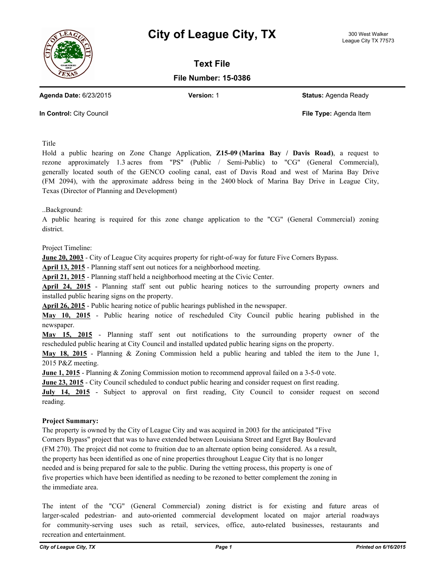



**Text File**

**File Number: 15-0386**

**Agenda Date:** 6/23/2015 **Version:** 1 **Status:** Agenda Ready

**In Control:** City Council **File Type:** Agenda Item

Title

Hold a public hearing on Zone Change Application, **Z15-09 (Marina Bay / Davis Road)**, a request to rezone approximately 1.3 acres from "PS" (Public / Semi-Public) to "CG" (General Commercial), generally located south of the GENCO cooling canal, east of Davis Road and west of Marina Bay Drive (FM 2094), with the approximate address being in the 2400 block of Marina Bay Drive in League City, Texas (Director of Planning and Development)

..Background:

A public hearing is required for this zone change application to the "CG" (General Commercial) zoning district.

Project Timeline:

**June 20, 2003** - City of League City acquires property for right-of-way for future Five Corners Bypass.

**April 13, 2015** - Planning staff sent out notices for a neighborhood meeting.

**April 21, 2015** - Planning staff held a neighborhood meeting at the Civic Center.

**April 24, 2015** - Planning staff sent out public hearing notices to the surrounding property owners and installed public hearing signs on the property.

**April 26, 2015** - Public hearing notice of public hearings published in the newspaper.

**May 10, 2015** - Public hearing notice of rescheduled City Council public hearing published in the newspaper.

**May 15, 2015** - Planning staff sent out notifications to the surrounding property owner of the rescheduled public hearing at City Council and installed updated public hearing signs on the property.

**May 18, 2015** - Planning & Zoning Commission held a public hearing and tabled the item to the June 1, 2015 P&Z meeting.

**June 1, 2015** - Planning & Zoning Commission motion to recommend approval failed on a 3-5-0 vote.

**June 23, 2015** - City Council scheduled to conduct public hearing and consider request on first reading.

**July 14, 2015** - Subject to approval on first reading, City Council to consider request on second reading.

## **Project Summary:**

The property is owned by the City of League City and was acquired in 2003 for the anticipated "Five Corners Bypass" project that was to have extended between Louisiana Street and Egret Bay Boulevard (FM 270). The project did not come to fruition due to an alternate option being considered. As a result, the property has been identified as one of nine properties throughout League City that is no longer needed and is being prepared for sale to the public. During the vetting process, this property is one of five properties which have been identified as needing to be rezoned to better complement the zoning in the immediate area.

The intent of the "CG" (General Commercial) zoning district is for existing and future areas of larger-scaled pedestrian- and auto-oriented commercial development located on major arterial roadways for community-serving uses such as retail, services, office, auto-related businesses, restaurants and recreation and entertainment.